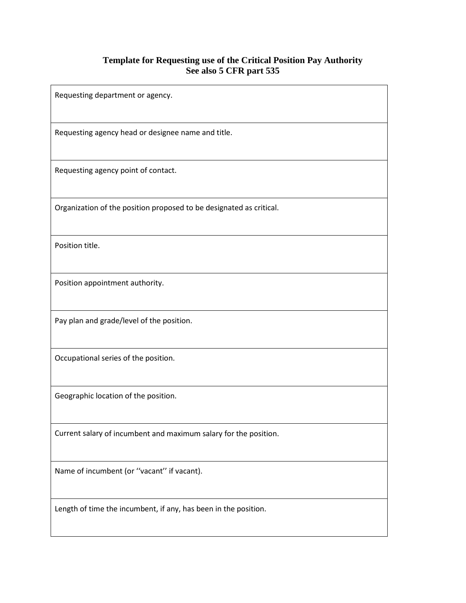## **Template for Requesting use of the Critical Position Pay Authority See also 5 CFR part 535**

Requesting department or agency. Requesting agency head or designee name and title. Requesting agency point of contact. Organization of the position proposed to be designated as critical. Position title. Position appointment authority. Pay plan and grade/level of the position. Occupational series of the position. Geographic location of the position. Current salary of incumbent and maximum salary for the position. Name of incumbent (or ''vacant'' if vacant). Length of time the incumbent, if any, has been in the position.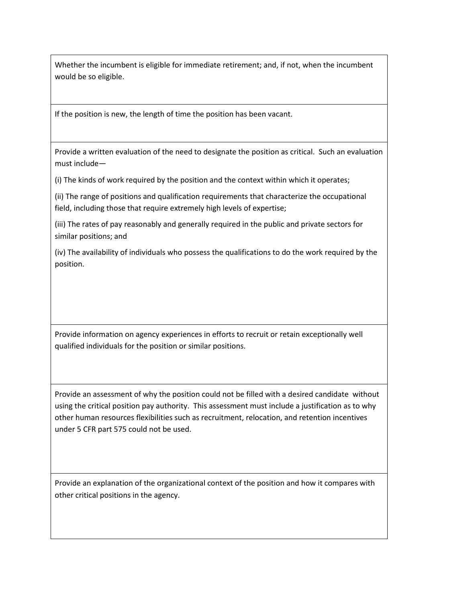Whether the incumbent is eligible for immediate retirement; and, if not, when the incumbent would be so eligible.

If the position is new, the length of time the position has been vacant.

Provide a written evaluation of the need to designate the position as critical. Such an evaluation must include—

(i) The kinds of work required by the position and the context within which it operates;

(ii) The range of positions and qualification requirements that characterize the occupational field, including those that require extremely high levels of expertise;

(iii) The rates of pay reasonably and generally required in the public and private sectors for similar positions; and

(iv) The availability of individuals who possess the qualifications to do the work required by the position.

Provide information on agency experiences in efforts to recruit or retain exceptionally well qualified individuals for the position or similar positions.

Provide an assessment of why the position could not be filled with a desired candidate without using the critical position pay authority. This assessment must include a justification as to why other human resources flexibilities such as recruitment, relocation, and retention incentives under 5 CFR part 575 could not be used.

Provide an explanation of the organizational context of the position and how it compares with other critical positions in the agency.